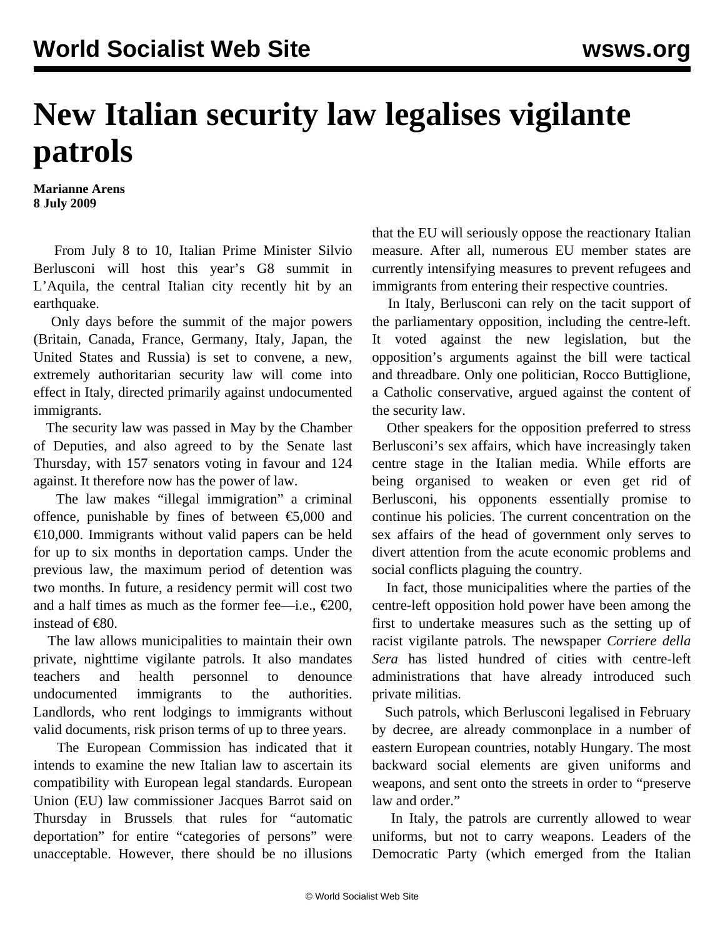## **New Italian security law legalises vigilante patrols**

**Marianne Arens 8 July 2009**

 From July 8 to 10, Italian Prime Minister Silvio Berlusconi will host this year's G8 summit in L'Aquila, the central Italian city recently hit by an earthquake.

 Only days before the summit of the major powers (Britain, Canada, France, Germany, Italy, Japan, the United States and Russia) is set to convene, a new, extremely authoritarian security law will come into effect in Italy, directed primarily against undocumented immigrants.

 The security law was passed in May by the Chamber of Deputies, and also agreed to by the Senate last Thursday, with 157 senators voting in favour and 124 against. It therefore now has the power of law.

 The law makes "illegal immigration" a criminal offence, punishable by fines of between  $\epsilon$ 5,000 and  $\epsilon$ 10,000. Immigrants without valid papers can be held for up to six months in deportation camps. Under the previous law, the maximum period of detention was two months. In future, a residency permit will cost two and a half times as much as the former fee—i.e.,  $\epsilon$ 200, instead of €80.

 The law allows municipalities to maintain their own private, nighttime vigilante patrols. It also mandates teachers and health personnel to denounce undocumented immigrants to the authorities. Landlords, who rent lodgings to immigrants without valid documents, risk prison terms of up to three years.

 The European Commission has indicated that it intends to examine the new Italian law to ascertain its compatibility with European legal standards. European Union (EU) law commissioner Jacques Barrot said on Thursday in Brussels that rules for "automatic deportation" for entire "categories of persons" were unacceptable. However, there should be no illusions

that the EU will seriously oppose the reactionary Italian measure. After all, numerous EU member states are currently intensifying measures to prevent refugees and immigrants from entering their respective countries.

 In Italy, Berlusconi can rely on the tacit support of the parliamentary opposition, including the centre-left. It voted against the new legislation, but the opposition's arguments against the bill were tactical and threadbare. Only one politician, Rocco Buttiglione, a Catholic conservative, argued against the content of the security law.

 Other speakers for the opposition preferred to stress Berlusconi's sex affairs, which have increasingly taken centre stage in the Italian media. While efforts are being organised to weaken or even get rid of Berlusconi, his opponents essentially promise to continue his policies. The current concentration on the sex affairs of the head of government only serves to divert attention from the acute economic problems and social conflicts plaguing the country.

 In fact, those municipalities where the parties of the centre-left opposition hold power have been among the first to undertake measures such as the setting up of racist vigilante patrols. The newspaper *Corriere della Sera* has listed hundred of cities with centre-left administrations that have already introduced such private militias.

 Such patrols, which Berlusconi legalised in February by decree, are already commonplace in a number of eastern European countries, notably Hungary. The most backward social elements are given uniforms and weapons, and sent onto the streets in order to "preserve law and order."

 In Italy, the patrols are currently allowed to wear uniforms, but not to carry weapons. Leaders of the Democratic Party (which emerged from the Italian